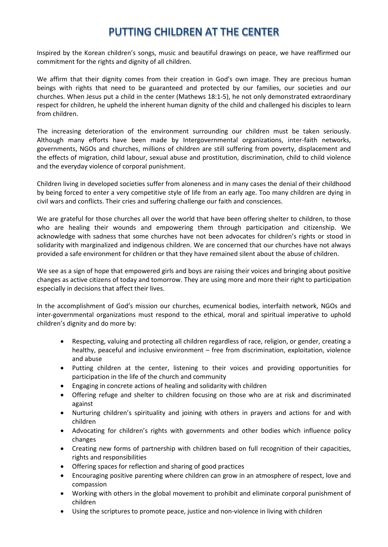## PUTTING CHILDREN AT THE CENTER

Inspired by the Korean children's songs, music and beautiful drawings on peace, we have reaffirmed our commitment for the rights and dignity of all children.

We affirm that their dignity comes from their creation in God's own image. They are precious human beings with rights that need to be guaranteed and protected by our families, our societies and our churches. When Jesus put a child in the center (Mathews 18:1-5), he not only demonstrated extraordinary respect for children, he upheld the inherent human dignity of the child and challenged his disciples to learn from children.

The increasing deterioration of the environment surrounding our children must be taken seriously. Although many efforts have been made by Intergovernmental organizations, inter-faith networks, governments, NGOs and churches, millions of children are still suffering from poverty, displacement and the effects of migration, child labour, sexual abuse and prostitution, discrimination, child to child violence and the everyday violence of corporal punishment.

Children living in developed societies suffer from aloneness and in many cases the denial of their childhood by being forced to enter a very competitive style of life from an early age. Too many children are dying in civil wars and conflicts. Their cries and suffering challenge our faith and consciences.

We are grateful for those churches all over the world that have been offering shelter to children, to those who are healing their wounds and empowering them through participation and citizenship. We acknowledge with sadness that some churches have not been advocates for children's rights or stood in solidarity with marginalized and indigenous children. We are concerned that our churches have not always provided a safe environment for children or that they have remained silent about the abuse of children.

We see as a sign of hope that empowered girls and boys are raising their voices and bringing about positive changes as active citizens of today and tomorrow. They are using more and more their right to participation especially in decisions that affect their lives.

In the accomplishment of God's mission our churches, ecumenical bodies, interfaith network, NGOs and inter-governmental organizations must respond to the ethical, moral and spiritual imperative to uphold children's dignity and do more by:

- Respecting, valuing and protecting all children regardless of race, religion, or gender, creating a healthy, peaceful and inclusive environment – free from discrimination, exploitation, violence and abuse
- Putting children at the center, listening to their voices and providing opportunities for participation in the life of the church and community
- Engaging in concrete actions of healing and solidarity with children
- Offering refuge and shelter to children focusing on those who are at risk and discriminated against
- Nurturing children's spirituality and joining with others in prayers and actions for and with children
- Advocating for children's rights with governments and other bodies which influence policy changes
- Creating new forms of partnership with children based on full recognition of their capacities, rights and responsibilities
- Offering spaces for reflection and sharing of good practices
- Encouraging positive parenting where children can grow in an atmosphere of respect, love and compassion
- Working with others in the global movement to prohibit and eliminate corporal punishment of children
- Using the scriptures to promote peace, justice and non-violence in living with children